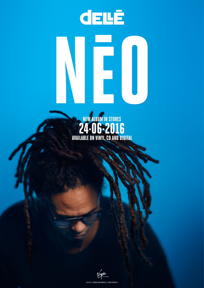## N **EXAMPLE AND IN STORES**



DELLEE.DE · FACEBOOK.COM/FRANKDELLEE · VIRGIN-RECORDS.DE